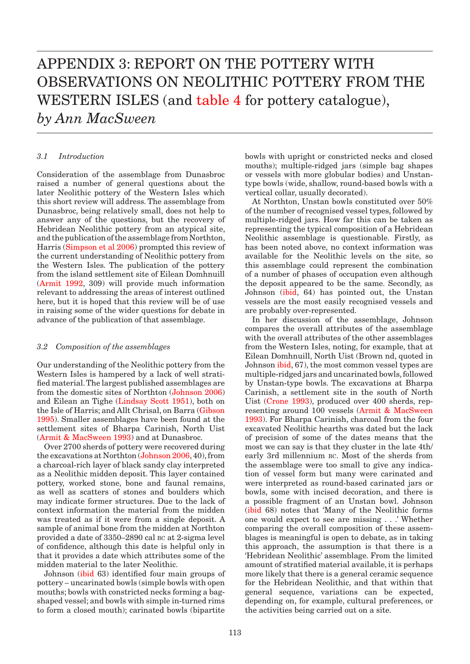# <span id="page-0-0"></span>appendix 3: REPORT ON THE POTTERY WITH OBSERVATIONS ON NEOLITHIC POTTERY FROM THE WESTERN ISLES (and [table 4 f](#page-1-0)or pottery catalogue), *by Ann MacSween*

#### *3.1 Introduction*

Consideration of the assemblage from Dunasbroc raised a number of general questions about the later Neolithic pottery of the Western Isles which this short review will address. The assemblage from Dunasbroc, being relatively small, does not help to answer any of the questions, but the recovery of Hebridean Neolithic pottery from an atypical site, and the publication of the assemblage from Northton, Harr[is \(Simpson et al 2006\) pr](#page-2-0)ompted this review of the current understanding of Neolithic pottery from the Western Isles. The publication of the pottery from the island settlement site of Eilean Domhnuill (Armit 1992, 309) will provide much information relevant to addressing the areas of interest outlined here, but it is hoped that this review will be of use in raising some of the wider questions for debate in advance of the publication of that assemblage.

#### *3.2 Composition of the assemblages*

Our understanding of the Neolithic pottery from the Western Isles is hampered by a lack of well stratified material. The largest published assemblages are from the domestic sites of Northton [\(Johnson 2006\)](#page-1-0)  and Eilean an Tigh[e \(Lindsay Scott 1951\),](#page-1-0) both on the Isle of Harris; and Allt Chrisal, on Barr[a \(Gibson](#page-1-0)  [1995\). Sm](#page-1-0)aller assemblages have been found at the settlement sites of Bharpa Carinish, North Uist (Armit & MacSween 1993) and at Dunasbroc.

Over 2700 sherds of pottery were recovered during the excavations at Northton [\(Johnson 2006, 40\)](#page-1-0), from a charcoal-rich layer of black sandy clay interpreted as a Neolithic midden deposit. This layer contained pottery, worked stone, bone and faunal remains, as well as scatters of stones and boulders which may indicate former structures. Due to the lack of context information the material from the midden was treated as if it were from a single deposit. A sample of animal bone from the midden at Northton provided a date of 3350–2890 cal bc at 2-sigma level of confidence, although this date is helpful only in that it provides a date which attributes some of the midden material to the later Neolithic.

Johns[on \(ibid 63\) identi](#page-1-0)fied four main groups of pottery – uncarinated bowls (simple bowls with open mouths; bowls with constricted necks forming a bagshaped vessel; and bowls with simple in-turned rims to form a closed mouth); carinated bowls (bipartite

bowls with upright or constricted necks and closed mouths); multiple-ridged jars (simple bag shapes or vessels with more globular bodies) and Unstantype bowls (wide, shallow, round-based bowls with a vertical collar, usually decorated).

At Northton, Unstan bowls constituted over 50% of the number of recognised vessel types, followed by multiple-ridged jars. How far this can be taken as representing the typical composition of a Hebridean Neolithic assemblage is questionable. Firstly, as has been noted above, no context information was available for the Neolithic levels on the site, so this assemblage could represent the combination of a number of phases of occupation even although the deposit appeared to be the same. Secondly, as Joh[nson \(ibid, 64](#page-1-0)) has pointed out, the Unstan vessels are the most easily recognised vessels and are probably over-represented.

In her discussion of the assemblage, Johnson compares the overall attributes of the assemblage with the overall attributes of the other assemblages from the Western Isles, noting, for example, that at Eilean Domhnuill, North Uist (Brown nd, quoted in Johnso[n ibid, 67\),](#page-1-0) the most common vessel types are multiple-ridged jars and uncarinated bowls, followed by Unstan-type bowls. The excavations at Bharpa Carinish, a settlement site in the south of North Uis[t \(Crone 1993\), pr](#page-1-0)oduced over 400 sherds, representing around 100 vessels (Armit & MacSween 1993). For Bharpa Carinish, charcoal from the four excavated Neolithic hearths was dated but the lack of precision of some of the dates means that the most we can say is that they cluster in the late 4th/ early 3rd millennium bc. Most of the sherds from the assemblage were too small to give any indication of vessel form but many were carinated and were interpreted as round-based carinated jars or bowls, some with incised decoration, and there is a possible fragment of an Unstan bowl. Johnson (ibid 68) notes that 'Many of the Neolithic forms one would expect to see are missing . . .' Whether comparing the overall composition of these assemblages is meaningful is open to debate, as in taking this approach, the assumption is that there is a 'Hebridean Neolithic' assemblage. From the limited amount of stratified material available, it is perhaps more likely that there is a general ceramic sequence for the Hebridean Neolithic, and that within that general sequence, variations can be expected, depending on, for example, cultural preferences, or the activities being carried out on a site.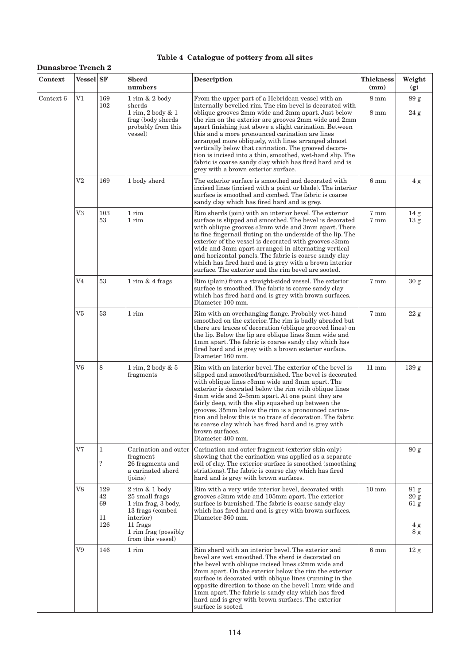## **Table 4 Catalogue of pottery from all sites**

## <span id="page-1-0"></span>**Dunasbroc Trench 2**

| Context   | <b>Vessel</b> SF |                                  | Sherd<br>numbers                                                                                                                                      | <b>Description</b>                                                                                                                                                                                                                                                                                                                                                                                                                                                                                                                                                                                                       | <b>Thickness</b><br>$(\mathbf{mm})$ | Weight<br>(g)                                                      |
|-----------|------------------|----------------------------------|-------------------------------------------------------------------------------------------------------------------------------------------------------|--------------------------------------------------------------------------------------------------------------------------------------------------------------------------------------------------------------------------------------------------------------------------------------------------------------------------------------------------------------------------------------------------------------------------------------------------------------------------------------------------------------------------------------------------------------------------------------------------------------------------|-------------------------------------|--------------------------------------------------------------------|
| Context 6 | V1               | 169<br>102                       | 1 rim & 2 body<br>sherds<br>1 rim, 2 body & 1<br>frag (body sherds<br>probably from this<br>vessel)                                                   | From the upper part of a Hebridean vessel with an<br>internally bevelled rim. The rim bevel is decorated with<br>oblique grooves 2mm wide and 2mm apart. Just below<br>the rim on the exterior are grooves 2mm wide and 2mm<br>apart finishing just above a slight carination. Between<br>this and a more pronounced carination are lines<br>arranged more obliquely, with lines arranged almost<br>vertically below that carination. The grooved decora-<br>tion is incised into a thin, smoothed, wet-hand slip. The<br>fabric is coarse sandy clay which has fired hard and is<br>grey with a brown exterior surface. | $8 \text{ mm}$<br>$8 \text{ mm}$    | 89 <sub>g</sub><br>24 g                                            |
|           | $_{\rm V2}$      | 169                              | 1 body sherd                                                                                                                                          | The exterior surface is smoothed and decorated with<br>incised lines (incised with a point or blade). The interior<br>surface is smoothed and combed. The fabric is coarse<br>sandy clay which has fired hard and is grey.                                                                                                                                                                                                                                                                                                                                                                                               | 6 <sub>mm</sub>                     | 4g                                                                 |
|           | V3               | 103<br>53                        | 1 rim<br>1 rim                                                                                                                                        | Rim sherds (join) with an interior bevel. The exterior<br>surface is slipped and smoothed. The bevel is decorated<br>with oblique grooves c3mm wide and 3mm apart. There<br>is fine fingernail fluting on the underside of the lip. The<br>exterior of the vessel is decorated with grooves $c3mm$<br>wide and 3mm apart arranged in alternating vertical<br>and horizontal panels. The fabric is coarse sandy clay<br>which has fired hard and is grey with a brown interior<br>surface. The exterior and the rim bevel are sooted.                                                                                     | 7 mm<br>7 mm                        | 14 <sub>g</sub><br>13 g                                            |
|           | V4               | 53                               | $1$ rim & $4$ frags                                                                                                                                   | Rim (plain) from a straight-sided vessel. The exterior<br>surface is smoothed. The fabric is coarse sandy clay<br>which has fired hard and is grey with brown surfaces.<br>Diameter 100 mm.                                                                                                                                                                                                                                                                                                                                                                                                                              | 7 mm                                | 30 g                                                               |
|           | V5               | 53                               | 1 rim                                                                                                                                                 | Rim with an overhanging flange. Probably wet-hand<br>smoothed on the exterior. The rim is badly abraded but<br>there are traces of decoration (oblique grooved lines) on<br>the lip. Below the lip are oblique lines 3mm wide and<br>1mm apart. The fabric is coarse sandy clay which has<br>fired hard and is grey with a brown exterior surface.<br>Diameter 160 mm.                                                                                                                                                                                                                                                   | 7 mm                                | $22\,\mathrm g$                                                    |
|           | V6               | 8                                | 1 rim, 2 body & 5<br>fragments                                                                                                                        | Rim with an interior bevel. The exterior of the bevel is<br>slipped and smoothed/burnished. The bevel is decorated<br>with oblique lines c3mm wide and 3mm apart. The<br>exterior is decorated below the rim with oblique lines<br>4mm wide and 2–5mm apart. At one point they are<br>fairly deep, with the slip squashed up between the<br>grooves. 35mm below the rim is a pronounced carina-<br>tion and below this is no trace of decoration. The fabric<br>is coarse clay which has fired hard and is grey with<br>brown surfaces.<br>Diameter 400 mm.                                                              | $11 \text{ mm}$                     | 139 <sub>g</sub>                                                   |
|           | V7               | $\mathbf{1}$<br>$\boldsymbol{?}$ | Carination and outer<br>fragment<br>26 fragments and<br>a carinated sherd<br>(ioins)                                                                  | Carination and outer fragment (exterior skin only)<br>showing that the carination was applied as a separate<br>roll of clay. The exterior surface is smoothed (smoothing<br>striations). The fabric is coarse clay which has fired<br>hard and is grey with brown surfaces.                                                                                                                                                                                                                                                                                                                                              |                                     | 80 g                                                               |
|           | V8               | 129<br>42<br>69<br>11<br>126     | $2$ rim $& 1$ body<br>25 small frags<br>1 rim frag, 3 body,<br>13 frags (combed<br>interior)<br>11 frags<br>1 rim frag (possibly<br>from this vessel) | Rim with a very wide interior bevel, decorated with<br>grooves $c3mm$ wide and 105mm apart. The exterior<br>surface is burnished. The fabric is coarse sandy clay<br>which has fired hard and is grey with brown surfaces.<br>Diameter 360 mm.                                                                                                                                                                                                                                                                                                                                                                           | $10 \text{ mm}$                     | 81 <sub>g</sub><br>20 g<br>61 <sub>g</sub><br>4g<br>8 <sub>g</sub> |
|           | V9               | 146                              | 1 rim                                                                                                                                                 | Rim sherd with an interior bevel. The exterior and<br>bevel are wet smoothed. The sherd is decorated on<br>the bevel with oblique incised lines c2mm wide and<br>2mm apart. On the exterior below the rim the exterior<br>surface is decorated with oblique lines (running in the<br>opposite direction to those on the bevel) 1mm wide and<br>1mm apart. The fabric is sandy clay which has fired<br>hard and is grey with brown surfaces. The exterior<br>surface is sooted.                                                                                                                                           | 6 <sub>mm</sub>                     | 12 g                                                               |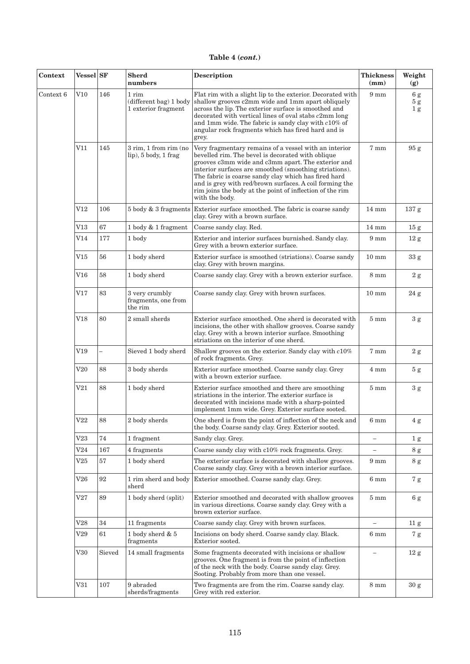<span id="page-2-0"></span>

| Context   | Vessel SF    |        | <b>Sherd</b><br>numbers                                | Description                                                                                                                                                                                                                                                                                                                                                                                                                 | <b>Thickness</b><br>(mm) | Weight<br>(g)              |
|-----------|--------------|--------|--------------------------------------------------------|-----------------------------------------------------------------------------------------------------------------------------------------------------------------------------------------------------------------------------------------------------------------------------------------------------------------------------------------------------------------------------------------------------------------------------|--------------------------|----------------------------|
| Context 6 | V10          | 146    | 1 rim<br>(different bag) 1 body<br>1 exterior fragment | Flat rim with a slight lip to the exterior. Decorated with<br>shallow grooves c2mm wide and 1mm apart obliquely<br>across the lip. The exterior surface is smoothed and<br>decorated with vertical lines of oval stabs c2mm long<br>and 1mm wide. The fabric is sandy clay with $c10\%$ of<br>angular rock fragments which has fired hard and is<br>grey.                                                                   | $9 \text{ mm}$           | 6g<br>5g<br>1 <sub>g</sub> |
|           | V11          | 145    | 3 rim, 1 from rim (no<br>lip), 5 body, 1 frag          | Very fragmentary remains of a vessel with an interior<br>bevelled rim. The bevel is decorated with oblique<br>grooves c3mm wide and c3mm apart. The exterior and<br>interior surfaces are smoothed (smoothing striations).<br>The fabric is coarse sandy clay which has fired hard<br>and is grey with red/brown surfaces. A coil forming the<br>rim joins the body at the point of inflection of the rim<br>with the body. | 7 mm                     | 95 g                       |
|           | V12          | 106    |                                                        | 5 body & 3 fragments Exterior surface smoothed. The fabric is coarse sandy<br>clay. Grey with a brown surface.                                                                                                                                                                                                                                                                                                              | $14 \text{ mm}$          | 137 <sub>g</sub>           |
|           | $_{\rm V13}$ | 67     | $1$ body $\&$ $1$ fragment                             | Coarse sandy clay. Red.                                                                                                                                                                                                                                                                                                                                                                                                     | $14 \text{ mm}$          | 15 g                       |
|           | V14          | 177    | 1 body                                                 | Exterior and interior surfaces burnished. Sandy clay.<br>Grey with a brown exterior surface.                                                                                                                                                                                                                                                                                                                                | $9 \text{ mm}$           | 12 g                       |
|           | $_{\rm V15}$ | 56     | 1 body sherd                                           | Exterior surface is smoothed (striations). Coarse sandy<br>clay. Grey with brown margins.                                                                                                                                                                                                                                                                                                                                   | $10 \text{ mm}$          | 33 <sub>g</sub>            |
|           | $_{\rm V16}$ | 58     | 1 body sherd                                           | Coarse sandy clay. Grey with a brown exterior surface.                                                                                                                                                                                                                                                                                                                                                                      | $8 \text{ mm}$           | 2g                         |
|           | V17          | 83     | 3 very crumbly<br>fragments, one from<br>the rim       | Coarse sandy clay. Grey with brown surfaces.                                                                                                                                                                                                                                                                                                                                                                                | $10 \text{ mm}$          | 24 g                       |
|           | V18          | 80     | 2 small sherds                                         | Exterior surface smoothed. One sherd is decorated with<br>incisions, the other with shallow grooves. Coarse sandy<br>clay. Grey with a brown interior surface. Smoothing<br>striations on the interior of one sherd.                                                                                                                                                                                                        | $5 \text{ mm}$           | $3\ \mathrm{g}$            |
|           | V19          |        | Sieved 1 body sherd                                    | Shallow grooves on the exterior. Sandy clay with $c10\%$<br>of rock fragments. Grey.                                                                                                                                                                                                                                                                                                                                        | $7 \text{ mm}$           | 2 g                        |
|           | $\rm V20$    | 88     | 3 body sherds                                          | Exterior surface smoothed. Coarse sandy clay. Grey<br>with a brown exterior surface.                                                                                                                                                                                                                                                                                                                                        | $4 \text{ mm}$           | 5 <sub>g</sub>             |
|           | V21          | 88     | 1 body sherd                                           | Exterior surface smoothed and there are smoothing<br>striations in the interior. The exterior surface is<br>decorated with incisions made with a sharp-pointed<br>implement 1mm wide. Grey. Exterior surface sooted.                                                                                                                                                                                                        | $5 \text{ mm}$           | $3\ \mathrm g$             |
|           | V22          | 88     | $2\ {\rm body\ sherds}$                                | One sherd is from the point of inflection of the neck and<br>the body. Coarse sandy clay. Grey. Exterior sooted.                                                                                                                                                                                                                                                                                                            | $6 \text{ mm}$           | 4 g                        |
|           | V23          | 74     | 1 fragment                                             | Sandy clay. Grey.                                                                                                                                                                                                                                                                                                                                                                                                           | $\overline{\phantom{m}}$ | 1 <sub>g</sub>             |
|           | V24          | 167    | 4 fragments                                            | Coarse sandy clay with c10% rock fragments. Grey.                                                                                                                                                                                                                                                                                                                                                                           |                          | 8 g                        |
|           | $_{\rm V25}$ | $57\,$ | 1 body sherd                                           | The exterior surface is decorated with shallow grooves.<br>Coarse sandy clay. Grey with a brown interior surface.                                                                                                                                                                                                                                                                                                           | $9 \text{ mm}$           | 8 <sub>g</sub>             |
|           | $\rm V26$    | 92     | 1 rim sherd and body<br>sherd                          | Exterior smoothed. Coarse sandy clay. Grey.                                                                                                                                                                                                                                                                                                                                                                                 | 6 <sub>mm</sub>          | 7 <sub>g</sub>             |
|           | V27          | 89     | 1 body sherd (split)                                   | Exterior smoothed and decorated with shallow grooves<br>in various directions. Coarse sandy clay. Grey with a<br>brown exterior surface.                                                                                                                                                                                                                                                                                    | $5 \text{ mm}$           | 6g                         |
|           | $_{\rm V28}$ | 34     | 11 fragments                                           | Coarse sandy clay. Grey with brown surfaces.                                                                                                                                                                                                                                                                                                                                                                                | $\overline{\phantom{m}}$ | 11 <sub>g</sub>            |
|           | $_{\rm V29}$ | 61     | 1 body sherd $& 5$<br>fragments                        | Incisions on body sherd. Coarse sandy clay. Black.<br>Exterior sooted.                                                                                                                                                                                                                                                                                                                                                      | 6 <sub>mm</sub>          | 7 <sub>g</sub>             |
|           | $_{\rm V30}$ | Sieved | 14 small fragments                                     | Some fragments decorated with incisions or shallow<br>grooves. One fragment is from the point of inflection<br>of the neck with the body. Coarse sandy clay. Grey.<br>Sooting. Probably from more than one vessel.                                                                                                                                                                                                          | $\overline{\phantom{m}}$ | 12 g                       |
|           | V31          | 107    | 9 abraded<br>sherds/fragments                          | Two fragments are from the rim. Coarse sandy clay.<br>Grey with red exterior.                                                                                                                                                                                                                                                                                                                                               | $8 \text{ mm}$           | 30 g                       |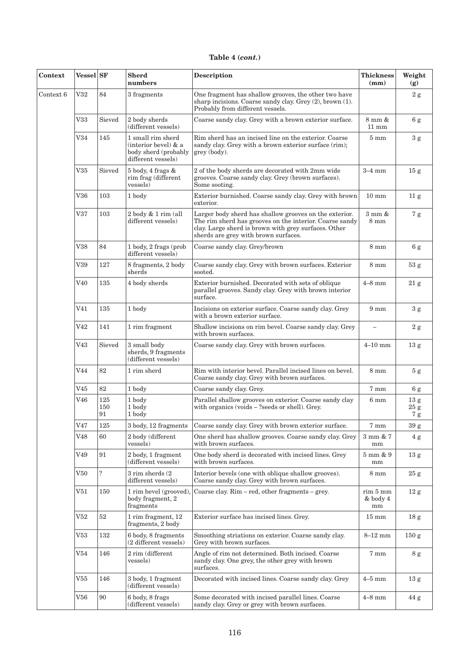| Context   | Vessel SF       |                  | <b>Sherd</b><br>numbers                                                                                                                                                                                                   | Description                                                                                                                                                                                                       | <b>Thickness</b><br>(mm)            | Weight<br>(g)                |
|-----------|-----------------|------------------|---------------------------------------------------------------------------------------------------------------------------------------------------------------------------------------------------------------------------|-------------------------------------------------------------------------------------------------------------------------------------------------------------------------------------------------------------------|-------------------------------------|------------------------------|
| Context 6 | V32             | 84               | 3 fragments                                                                                                                                                                                                               | One fragment has shallow grooves, the other two have<br>sharp incisions. Coarse sandy clay. Grey (2), brown (1).<br>Probably from different vessels.                                                              |                                     | 2 g                          |
|           | V33             | Sieved           | 2 body sherds<br>(different vessels)                                                                                                                                                                                      | Coarse sandy clay. Grey with a brown exterior surface.                                                                                                                                                            | 8 mm &<br>$11 \text{ mm}$           | 6g                           |
|           | V34             | 145              | Rim sherd has an incised line on the exterior. Coarse<br>1 small rim sherd<br>(interior bevel) & a<br>sandy clay. Grey with a brown exterior surface (rim);<br>body sherd (probably<br>grey (body).<br>different vessels) |                                                                                                                                                                                                                   | $5 \text{ mm}$                      | 3 g                          |
|           | V35             | Sieved           | 5 body, 4 frags &<br>rim frag (different<br>vessels)                                                                                                                                                                      | 2 of the body sherds are decorated with 2mm wide<br>grooves. Coarse sandy clay. Grey (brown surfaces).<br>Some sooting.                                                                                           | $3-4$ mm                            | 15 <sub>g</sub>              |
|           | $_{\rm V36}$    | 103              | 1 body                                                                                                                                                                                                                    | Exterior burnished. Coarse sandy clay. Grey with brown<br>exterior.                                                                                                                                               | $10 \text{ mm}$                     | 11 <sub>g</sub>              |
|           | V37             | 103              | 2 body & 1 rim (all<br>different vessels)                                                                                                                                                                                 | Larger body sherd has shallow grooves on the exterior.<br>The rim sherd has grooves on the interior. Coarse sandy<br>clay. Large sherd is brown with grey surfaces. Other<br>sherds are grey with brown surfaces. | $3 \text{ mm}$ &<br>$8 \text{ mm}$  | 7 g                          |
|           | $_{\rm V38}$    | 84               | 1 body, 2 frags (prob<br>different vessels)                                                                                                                                                                               | Coarse sandy clay. Grey/brown                                                                                                                                                                                     | $8 \text{ mm}$                      | 6g                           |
|           | $_{\rm V39}$    | 127              | 8 fragments, 2 body<br>sherds                                                                                                                                                                                             | Coarse sandy clay. Grey with brown surfaces. Exterior<br>sooted.                                                                                                                                                  | $8 \text{ mm}$                      | 53 <sub>g</sub>              |
|           | V40             | 135              | 4 body sherds                                                                                                                                                                                                             | Exterior burnished. Decorated with sets of oblique<br>parallel grooves. Sandy clay. Grey with brown interior<br>surface.                                                                                          | $4-8$ mm                            | 21 g                         |
|           | V <sub>41</sub> | 135              | 1 body                                                                                                                                                                                                                    | Incisions on exterior surface. Coarse sandy clay. Grey<br>with a brown exterior surface.                                                                                                                          | $9 \text{ mm}$                      | 3 <sub>g</sub>               |
|           | V42             | 141              | 1 rim fragment                                                                                                                                                                                                            | Shallow incisions on rim bevel. Coarse sandy clay. Grey<br>with brown surfaces.                                                                                                                                   | $\equiv$                            | $2\ \mathrm{g}$              |
|           | V43             | Sieved           | 3 small body<br>sherds, 9 fragments<br>(different vessels)                                                                                                                                                                | Coarse sandy clay. Grey with brown surfaces.                                                                                                                                                                      | $4-10$ mm                           | 13 <sub>g</sub>              |
|           | V <sub>44</sub> | 82               | 1 rim sherd                                                                                                                                                                                                               | Rim with interior bevel. Parallel incised lines on bevel.<br>Coarse sandy clay. Grey with brown surfaces.                                                                                                         | $8 \text{ mm}$                      | 5 <sub>g</sub>               |
|           | V45             | 82               | 1 body                                                                                                                                                                                                                    | Coarse sandy clay. Grey.                                                                                                                                                                                          | 7 mm                                | 6g                           |
|           | V46             | 125<br>150<br>91 | 1 body<br>1 body<br>1 body                                                                                                                                                                                                | Parallel shallow grooves on exterior. Coarse sandy clay<br>with organics (voids – ?seeds or shell). Grey.                                                                                                         | 6 <sub>mm</sub>                     | 13 g<br>$25\:{\rm g}$<br>7 g |
|           | V47             | 125              | 3 body, 12 fragments                                                                                                                                                                                                      | Coarse sandy clay. Grey with brown exterior surface.                                                                                                                                                              | 7 mm                                | $39\mathrm{\ g}$             |
|           | V48             | 60               | 2 body (different<br>vessels)                                                                                                                                                                                             | One sherd has shallow grooves. Coarse sandy clay. Grey<br>with brown surfaces.                                                                                                                                    | $3 \text{ mm}$ & $7$<br>mm          | 4g                           |
|           | V49             | 91               | 2 body, 1 fragment<br>(different vessels)                                                                                                                                                                                 | One body sherd is decorated with incised lines. Grey<br>with brown surfaces.                                                                                                                                      | $5 \;\mathrm{mm}$ & $9$<br>$\rm mm$ | 13 <sub>g</sub>              |
|           | ${\rm V}50$     | $\ddot{.}$       | 3 rim sherds (2<br>different vessels)                                                                                                                                                                                     | Interior bevels (one with oblique shallow grooves).<br>Coarse sandy clay. Grey with brown surfaces.                                                                                                               | $8 \text{ mm}$                      | 25 g                         |
|           | V51             | 150              | 1 rim bevel (grooved),<br>body fragment, 2<br>fragments                                                                                                                                                                   | Coarse clay. Rim - red, other fragments - grey.                                                                                                                                                                   | rim 5 mm<br>& body 4<br>mm          | 12 g                         |
|           | V <sub>52</sub> | $52\,$           | 1 rim fragment, 12<br>fragments, 2 body                                                                                                                                                                                   | Exterior surface has incised lines. Grey.                                                                                                                                                                         | $15 \text{ mm}$                     | 18 <sub>g</sub>              |
|           | ${\rm V53}$     | 132              | 6 body, 8 fragments<br>(2 different vessels)                                                                                                                                                                              | Smoothing striations on exterior. Coarse sandy clay.<br>Grey with brown surfaces.                                                                                                                                 | $8-12$ mm                           | 150 g                        |
|           | $_{\rm V54}$    | 146              | 2 rim (different<br>vessels)                                                                                                                                                                                              | Angle of rim not determined. Both incised. Coarse<br>sandy clay. One grey, the other grey with brown<br>surfaces.                                                                                                 | 7 mm                                | 8 g                          |
|           | V55             | 146              | 3 body, 1 fragment<br>(different vessels)                                                                                                                                                                                 | Decorated with incised lines. Coarse sandy clay. Grey                                                                                                                                                             | $4-5$ mm                            | 13 <sub>g</sub>              |
|           | ${\rm V56}$     | 90               | 6 body, 8 frags<br>(different vessels)                                                                                                                                                                                    | Some decorated with incised parallel lines. Coarse<br>sandy clay. Grey or grey with brown surfaces.                                                                                                               | $4 - 8$ mm                          | 44 g                         |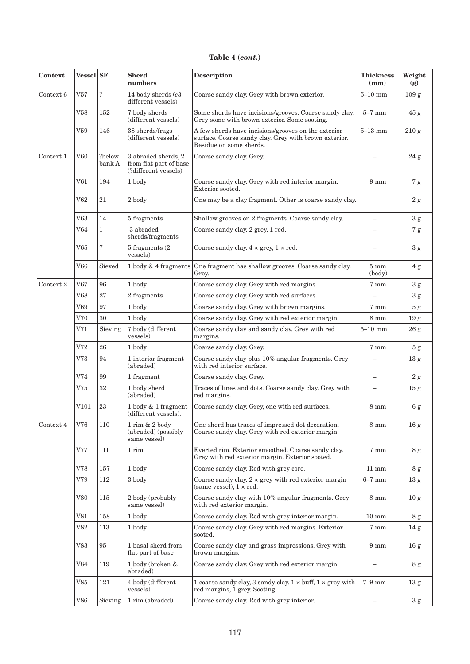| Context       | Vessel SF    |                  | <b>Sherd</b><br>numbers                                               | <b>Description</b>                                                                                                                      | <b>Thickness</b><br>(mm) | Weight<br>(g)    |
|---------------|--------------|------------------|-----------------------------------------------------------------------|-----------------------------------------------------------------------------------------------------------------------------------------|--------------------------|------------------|
| Context 6     | V57          | $\ddot{?}$       | 14 body sherds $(c3)$<br>different vessels)                           | Coarse sandy clay. Grey with brown exterior.                                                                                            | $5 - 10$ mm              | 109 <sub>g</sub> |
|               | $_{\rm V58}$ | 152              | 7 body sherds<br>(different vessels)                                  | Some sherds have incisions/grooves. Coarse sandy clay.<br>Grey some with brown exterior. Some sooting.                                  | $5-7$ mm                 | 45 g             |
|               | ${\rm V59}$  | 146              | 38 sherds/frags<br>(different vessels)                                | A few sherds have incisions/grooves on the exterior<br>surface. Coarse sandy clay. Grey with brown exterior.<br>Residue on some sherds. | $5-13$ mm                | 210 g            |
| Context 1     | V60          | ?below<br>bank A | 3 abraded sherds, 2<br>from flat part of base<br>(?different vessels) | Coarse sandy clay. Grey.                                                                                                                | $\overline{\phantom{0}}$ | 24 g             |
|               | ${\rm V61}$  | 194              | 1 body                                                                | Coarse sandy clay. Grey with red interior margin.<br>Exterior sooted.                                                                   | $9 \text{ mm}$           | 7 g              |
|               | ${\rm V62}$  | $21\,$           | 2 body                                                                | One may be a clay fragment. Other is coarse sandy clay.                                                                                 |                          | $2\ \mathrm{g}$  |
|               | ${\rm V63}$  | 14               | 5 fragments                                                           | Shallow grooves on 2 fragments. Coarse sandy clay.                                                                                      |                          | 3 <sub>g</sub>   |
|               | V64          | $\mathbf{1}$     | 3 abraded<br>sherds/fragments                                         | Coarse sandy clay. 2 grey, 1 red.                                                                                                       |                          | 7 g              |
|               | V65          | $\sqrt{ }$       | 5 fragments (2<br>vessels)                                            | Coarse sandy clay. $4 \times \text{grey}, 1 \times \text{red}.$                                                                         |                          | $3\ \mathrm{g}$  |
|               | V66          | Sieved           | 1 body & 4 fragments                                                  | One fragment has shallow grooves. Coarse sandy clay.<br>Grey.                                                                           | $5 \text{ mm}$<br>(body) | 4g               |
| Context 2     | V67          | 96               | 1 body                                                                | Coarse sandy clay. Grey with red margins.                                                                                               | 7 mm                     | $3\ \mathrm{g}$  |
|               | ${\rm V68}$  | 27               | 2 fragments                                                           | Coarse sandy clay. Grey with red surfaces.                                                                                              |                          | 3 <sub>g</sub>   |
|               | V69          | 97               | 1 body                                                                | Coarse sandy clay. Grey with brown margins.                                                                                             | 7 mm                     | $5\ {\rm g}$     |
|               | V70          | 30               | 1 body                                                                | Coarse sandy clay. Grey with red exterior margin.                                                                                       | $8 \text{ mm}$           | 19 <sub>g</sub>  |
|               | V71          | Sieving          | 7 body (different<br>vessels)                                         | Coarse sandy clay and sandy clay. Grey with red<br>margins.                                                                             | $5-10$ mm                | 26 g             |
|               | $_{\rm V72}$ | 26               | 1 body                                                                | Coarse sandy clay. Grey.                                                                                                                | 7 mm                     | 5 <sub>g</sub>   |
|               | $_{\rm V73}$ | 94               | 1 interior fragment<br>(abraded)                                      | Coarse sandy clay plus 10% angular fragments. Grey<br>with red interior surface.                                                        | ÷                        | 13 <sub>g</sub>  |
|               | V74          | 99               | 1 fragment                                                            | Coarse sandy clay. Grey.                                                                                                                | $\overline{\phantom{0}}$ | $2\ \mathrm{g}$  |
|               | V75          | $32\,$           | 1 body sherd<br>(abraded)                                             | Traces of lines and dots. Coarse sandy clay. Grey with<br>red margins.                                                                  |                          | 15 <sub>g</sub>  |
|               | $\rm V101$   | $\bf 23$         | 1 body & 1 fragment<br>(different vessels).                           | Coarse sandy clay. Grey, one with red surfaces.                                                                                         | $8 \text{ mm}$           | $6\:{\rm g}$     |
| Context $4\,$ | V76          | 110              | 1 rim & 2 body<br>(abraded) (possibly<br>same vessel)                 | One sherd has traces of impressed dot decoration.<br>Coarse sandy clay. Grey with red exterior margin.                                  | $8\text{ }\mathrm{mm}$   | 16g              |
|               | V77          | 111              | $1\;\mathrm{rim}$                                                     | Everted rim. Exterior smoothed. Coarse sandy clay.<br>Grey with red exterior margin. Exterior sooted.                                   | 7 mm                     | 8 g              |
|               | V78          | 157              | 1 body                                                                | Coarse sandy clay. Red with grey core.                                                                                                  | $11 \text{ mm}$          | 8g               |
|               | V79          | 112              | 3 body                                                                | Coarse sandy clay. $2 \times$ grey with red exterior margin<br>(same vessel), $1 \times red$ .                                          | $6-7$ mm                 | 13 <sub>g</sub>  |
|               | $_{\rm V80}$ | 115              | 2 body (probably<br>same vessel)                                      | Coarse sandy clay with 10% angular fragments. Grey<br>with red exterior margin.                                                         | 8 mm                     | 10 g             |
|               | V81          | 158              | 1 body                                                                | Coarse sandy clay. Red with grey interior margin.                                                                                       | $10 \text{ mm}$          | 8 g              |
|               | V82          | 113              | 1 body                                                                | Coarse sandy clay. Grey with red margins. Exterior<br>sooted.                                                                           | 7 mm                     | 14 g             |
|               | $_{\rm V83}$ | 95               | 1 basal sherd from<br>flat part of base                               | Coarse sandy clay and grass impressions. Grey with<br>brown margins.                                                                    | $9 \text{ mm}$           | 16 <sub>g</sub>  |
|               | V84          | 119              | 1 body (broken &<br>abraded)                                          | Coarse sandy clay. Grey with red exterior margin.                                                                                       |                          | 8 <sub>g</sub>   |
|               | $_{\rm V85}$ | 121              | 4 body (different<br>vessels)                                         | 1 coarse sandy clay, 3 sandy clay, $1 \times$ buff, $1 \times$ grey with<br>red margins, 1 grey. Sooting.                               | $7-9$ mm                 | 13 <sub>g</sub>  |
|               | V86          | Sieving          | 1 rim (abraded)                                                       | Coarse sandy clay. Red with grey interior.                                                                                              | $\equiv$                 | $3\ \mathrm{g}$  |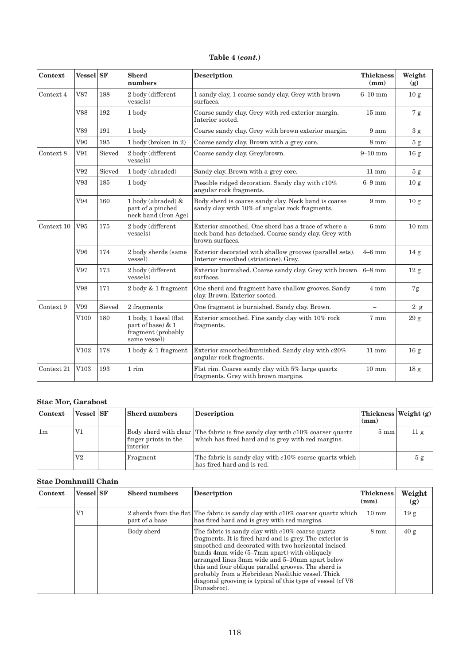<span id="page-5-0"></span>

| Context    | <b>Vessel</b> SF |        | <b>Sherd</b><br>numbers                                                          | <b>Description</b>                                                                                                             | <b>Thickness</b><br>(mm) | Weight<br>(g)   |
|------------|------------------|--------|----------------------------------------------------------------------------------|--------------------------------------------------------------------------------------------------------------------------------|--------------------------|-----------------|
| Context 4  | V87              | 188    | 2 body (different<br>vessels)                                                    | 1 sandy clay, 1 coarse sandy clay. Grey with brown<br>surfaces.                                                                | $6 - 10$ mm              | 10 <sub>g</sub> |
|            | <b>V88</b>       | 192    | 1 body                                                                           | Coarse sandy clay. Grey with red exterior margin.<br>Interior sooted.                                                          | $15 \text{ mm}$          | 7 <sub>g</sub>  |
|            | V89              | 191    | 1 body                                                                           | Coarse sandy clay. Grey with brown exterior margin.                                                                            | $9 \text{ mm}$           | 3g              |
|            | V90              | 195    | 1 body (broken in 2)                                                             | Coarse sandy clay. Brown with a grey core.                                                                                     | $8 \text{ mm}$           | 5g              |
| Context 8  | V91              | Sieved | 2 body (different<br>vessels)                                                    | Coarse sandy clay. Grey/brown.                                                                                                 | $9-10$ mm                | 16 <sub>g</sub> |
|            | V92              | Sieved | 1 body (abraded)                                                                 | Sandy clay. Brown with a grey core.                                                                                            | $11 \text{ mm}$          | 5g              |
|            | V93              | 185    | 1 body                                                                           | Possible ridged decoration. Sandy clay with $c10\%$<br>angular rock fragments.                                                 | $6-9$ mm                 | 10 <sub>g</sub> |
|            | V94              | 160    | 1 body (abraded) $&$<br>part of a pinched<br>neck band (Iron Age)                | Body sherd is coarse sandy clay. Neck band is coarse<br>sandy clay with 10% of angular rock fragments.                         | $9 \text{ mm}$           | 10 <sub>g</sub> |
| Context 10 | V95              | 175    | 2 body (different<br>vessels)                                                    | Exterior smoothed. One sherd has a trace of where a<br>neck band has detached. Coarse sandy clay. Grey with<br>brown surfaces. | $6 \text{ mm}$           | $10 \text{ mm}$ |
|            | V96              | 174    | 2 body sherds (same<br>vessel)                                                   | Exterior decorated with shallow grooves (parallel sets).<br>Interior smoothed (striations). Grey.                              | $4-6$ mm                 | 14 <sub>g</sub> |
|            | V97              | 173    | 2 body (different<br>vessels)                                                    | Exterior burnished. Coarse sandy clay. Grey with brown<br>surfaces.                                                            | $6-8$ mm                 | 12g             |
|            | V98              | 171    | 2 body & 1 fragment                                                              | One sherd and fragment have shallow grooves. Sandy<br>clay. Brown. Exterior sooted.                                            | $4 \text{ mm}$           | 7g              |
| Context 9  | V99              | Sieved | 2 fragments                                                                      | One fragment is burnished. Sandy clay. Brown.                                                                                  | $\overline{\phantom{m}}$ | 2 g             |
|            | V <sub>100</sub> | 180    | 1 body, 1 basal (flat<br>part of base) & 1<br>fragment (probably<br>same vessel) | Exterior smoothed. Fine sandy clay with 10% rock<br>fragments.                                                                 | 7 mm                     | 29 <sub>g</sub> |
|            | V102             | 178    | 1 body & 1 fragment                                                              | Exterior smoothed/burnished. Sandy clay with c20%<br>angular rock fragments.                                                   | $11 \text{ mm}$          | 16 <sub>g</sub> |
| Context 21 | V103             | 193    | 1 rim                                                                            | Flat rim. Coarse sandy clay with 5% large quartz<br>$10 \text{ mm}$<br>fragments. Grey with brown margins.                     |                          | 18 <sub>g</sub> |

## **Stac Mor, Garabost**

| Context        | Vessel SF      | <b>Sherd numbers</b>              | <b>Description</b>                                                                                                                 | (mm)           | Thickness Weight(g) |
|----------------|----------------|-----------------------------------|------------------------------------------------------------------------------------------------------------------------------------|----------------|---------------------|
| 1 <sub>m</sub> | $_{\rm V1}$    | finger prints in the<br>linterior | Body sherd with clear The fabric is fine sandy clay with c10% coarser quartz<br>which has fired hard and is grey with red margins. | $5 \text{ mm}$ | 11 <sub>g</sub>     |
|                | V <sub>2</sub> | Fragment                          | The fabric is sandy clay with c10% coarse quartz which<br>has fired hard and is red.                                               |                | 5g                  |

### **Stac Domhnuill Chain**

| Context | <b>Vessel</b> SF | <b>Sherd numbers</b> | <b>Description</b>                                                                                                                                                                                                                                                                                                                                                                                                                                            | <b>Thickness</b><br>(mm) | Weight<br>(g)   |
|---------|------------------|----------------------|---------------------------------------------------------------------------------------------------------------------------------------------------------------------------------------------------------------------------------------------------------------------------------------------------------------------------------------------------------------------------------------------------------------------------------------------------------------|--------------------------|-----------------|
|         | $_{\rm V1}$      | part of a base       | 2 sherds from the flat The fabric is sandy clay with $c10\%$ coarser quartz which<br>has fired hard and is grey with red margins.                                                                                                                                                                                                                                                                                                                             | $10 \text{ mm}$          | 19 <sub>g</sub> |
|         |                  | Body sherd           | The fabric is sandy clay with c10% coarse quartz<br>fragments. It is fired hard and is grey. The exterior is<br>smoothed and decorated with two horizontal incised<br>bands 4mm wide (5–7mm apart) with obliquely<br>arranged lines 3mm wide and 5-10mm apart below<br>this and four oblique parallel grooves. The sherd is<br>probably from a Hebridean Neolithic vessel. Thick<br>diagonal grooving is typical of this type of vessel (cf V6<br>Dunasbroc). | $8 \text{ mm}$           | 40 g            |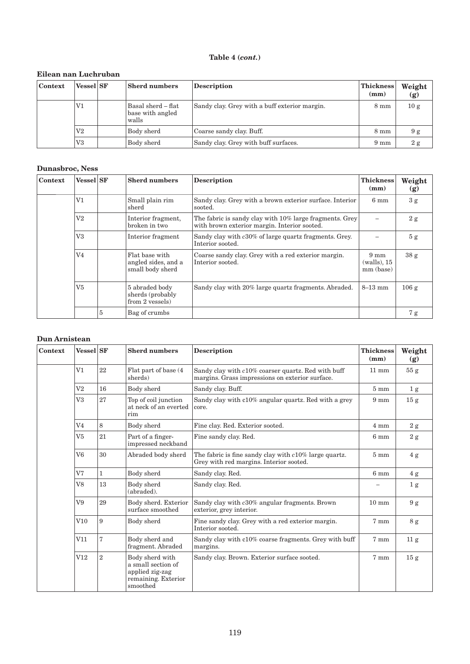## **Eilean nan Luchruban**

| Context | <b>Vessel</b> SF | <b>Sherd numbers</b>                            | <b>Description</b>                            | <b>Thickness</b><br>(mm) | Weight<br>(g) |
|---------|------------------|-------------------------------------------------|-----------------------------------------------|--------------------------|---------------|
|         | $_{\rm V1}$      | Basal sherd – flat<br>base with angled<br>walls | Sandy clay. Grey with a buff exterior margin. | $8 \text{ mm}$           | 10 g          |
|         | $_{\mathrm{V2}}$ | Body sherd                                      | Coarse sandy clay. Buff.                      | $8 \text{ mm}$           | 9g            |
|         | $_{\rm V3}$      | Body sherd                                      | Sandy clay. Grey with buff surfaces.          | $9 \text{ mm}$           | 2 g           |

## **Dunasbroc, Ness**

| Context                                                                 | <b>Vessel</b> SF<br><b>Sherd numbers</b><br><b>Description</b>                                                                                                                                                                                                                                                                                                                                                   |                                                      | <b>Thickness</b><br>(mm)                      | Weight<br>(g)                                                       |                |    |
|-------------------------------------------------------------------------|------------------------------------------------------------------------------------------------------------------------------------------------------------------------------------------------------------------------------------------------------------------------------------------------------------------------------------------------------------------------------------------------------------------|------------------------------------------------------|-----------------------------------------------|---------------------------------------------------------------------|----------------|----|
|                                                                         | V1                                                                                                                                                                                                                                                                                                                                                                                                               |                                                      | Small plain rim<br>sherd                      | Sandy clay. Grey with a brown exterior surface. Interior<br>sooted. | $6 \text{ mm}$ | 3g |
|                                                                         | $\rm V2$<br>The fabric is sandy clay with 10% large fragments. Grey<br>Interior fragment,<br>with brown exterior margin. Interior sooted.<br>broken in two<br>V3<br>Sandy clay with c30% of large quartz fragments. Grey.<br>Interior fragment<br>Interior sooted.<br>V4<br>Flat base with<br>Coarse sandy clay. Grey with a red exterior margin.<br>Interior sooted.<br>angled sides, and a<br>small body sherd |                                                      |                                               | 2 g                                                                 |                |    |
|                                                                         |                                                                                                                                                                                                                                                                                                                                                                                                                  |                                                      |                                               | 5 <sub>g</sub>                                                      |                |    |
|                                                                         |                                                                                                                                                                                                                                                                                                                                                                                                                  |                                                      | $9 \text{ mm}$<br>$(walls)$ , 15<br>mm (base) | 38 <sub>g</sub>                                                     |                |    |
| V <sub>5</sub><br>5 abraded body<br>sherds (probably<br>from 2 vessels) |                                                                                                                                                                                                                                                                                                                                                                                                                  | Sandy clay with 20% large quartz fragments. Abraded. | $8-13$ mm                                     | 106g                                                                |                |    |
|                                                                         |                                                                                                                                                                                                                                                                                                                                                                                                                  | 5                                                    | Bag of crumbs                                 |                                                                     |                | 7g |

#### **Dun Arnistean**

| Context                                                                                                                                | <b>Vessel</b> SF |                                                    | <b>Sherd numbers</b>                                                                                | <b>Description</b>                                                                                    | <b>Thickness</b><br>(mm) | Weight<br>(g)   |
|----------------------------------------------------------------------------------------------------------------------------------------|------------------|----------------------------------------------------|-----------------------------------------------------------------------------------------------------|-------------------------------------------------------------------------------------------------------|--------------------------|-----------------|
|                                                                                                                                        | V <sub>1</sub>   | 22                                                 | Flat part of base (4)<br>sherds)                                                                    | Sandy clay with c10% coarser quartz. Red with buff<br>margins. Grass impressions on exterior surface. | $11 \text{ mm}$          | 55 <sub>g</sub> |
|                                                                                                                                        | $_{\rm V2}$      | 16                                                 | Body sherd                                                                                          | Sandy clay. Buff.                                                                                     | $5 \text{ mm}$           | 1 <sub>g</sub>  |
|                                                                                                                                        | V3               | 27                                                 | Top of coil junction<br>at neck of an everted<br>rim                                                | Sandy clay with c10% angular quartz. Red with a grey<br>core.                                         | $9 \text{ mm}$           | 15 <sub>g</sub> |
|                                                                                                                                        | V <sub>4</sub>   | 8                                                  | Body sherd                                                                                          | Fine clay. Red. Exterior sooted.                                                                      | $4 \text{ mm}$           | 2 g             |
| 21<br>V <sub>5</sub><br>Part of a finger-<br>Fine sandy clay. Red.<br>impressed neckband<br>30<br>V <sub>6</sub><br>Abraded body sherd |                  |                                                    | 6 <sub>mm</sub>                                                                                     | $2\ \mathrm{g}$                                                                                       |                          |                 |
|                                                                                                                                        |                  |                                                    | The fabric is fine sandy clay with $c10\%$ large quartz.<br>Grey with red margins. Interior sooted. | $5 \text{ mm}$                                                                                        | 4g                       |                 |
|                                                                                                                                        | V <sub>7</sub>   | $\mathbf{1}$                                       | Body sherd<br>Sandy clay. Red.                                                                      |                                                                                                       | 6 <sub>mm</sub>          | 4g              |
|                                                                                                                                        | V8               | 13<br>Body sherd<br>Sandy clay. Red.<br>(abraded). |                                                                                                     |                                                                                                       |                          | 1 <sub>g</sub>  |
|                                                                                                                                        | V9               | 29                                                 | Body sherd. Exterior<br>surface smoothed                                                            | Sandy clay with c30% angular fragments. Brown<br>exterior, grey interior.                             | $10 \text{ mm}$          | 9g              |
| 9<br>V10<br>Body sherd<br>Interior sooted.<br>7<br>V11<br>Body sherd and<br>fragment. Abraded<br>margins.                              |                  | Fine sandy clay. Grey with a red exterior margin.  | 7 mm                                                                                                | 8g                                                                                                    |                          |                 |
|                                                                                                                                        |                  |                                                    | Sandy clay with c10% coarse fragments. Grey with buff                                               | $7 \text{ mm}$                                                                                        | 11 <sub>g</sub>          |                 |
|                                                                                                                                        | V12              | $\overline{2}$                                     | Body sherd with<br>a small section of<br>applied zig-zag<br>remaining. Exterior<br>smoothed         | Sandy clay. Brown. Exterior surface sooted.                                                           | 7 mm                     | 15 <sub>g</sub> |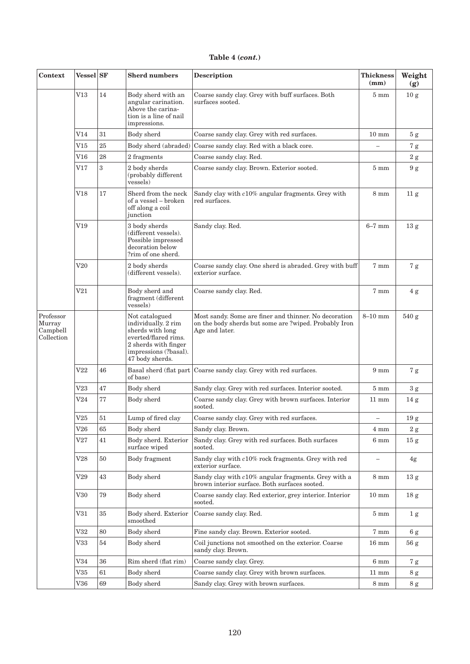| Context                                                                                                                                                        | <b>Vessel</b> SF                                                                      |                                                          | <b>Sherd numbers</b>                                                                                                                                  | <b>Description</b>                                                                                                               | <b>Thickness</b><br>(mm) | Weight<br>(g)   |
|----------------------------------------------------------------------------------------------------------------------------------------------------------------|---------------------------------------------------------------------------------------|----------------------------------------------------------|-------------------------------------------------------------------------------------------------------------------------------------------------------|----------------------------------------------------------------------------------------------------------------------------------|--------------------------|-----------------|
|                                                                                                                                                                | V13                                                                                   | 14                                                       | Body sherd with an<br>angular carination.<br>Above the carina-<br>tion is a line of nail<br>impressions.                                              | Coarse sandy clay. Grey with buff surfaces. Both<br>surfaces sooted.                                                             | $5 \text{ mm}$           | 10 <sub>g</sub> |
|                                                                                                                                                                | V14                                                                                   | 31                                                       | Body sherd                                                                                                                                            | Coarse sandy clay. Grey with red surfaces.                                                                                       | $10 \text{ mm}$          | $5\ {\rm g}$    |
|                                                                                                                                                                | V15                                                                                   | $25\,$                                                   | Body sherd (abraded)                                                                                                                                  | Coarse sandy clay. Red with a black core.                                                                                        |                          | 7g              |
|                                                                                                                                                                | V16                                                                                   | $\bf 28$                                                 | 2 fragments                                                                                                                                           | Coarse sandy clay. Red.                                                                                                          |                          | 2 g             |
|                                                                                                                                                                | V17                                                                                   | 3                                                        | 2 body sherds<br>(probably different<br>vessels)                                                                                                      | Coarse sandy clay. Brown. Exterior sooted.                                                                                       | $5 \text{ mm}$           | 9g              |
|                                                                                                                                                                | V18                                                                                   | 17                                                       | Sherd from the neck<br>of a vessel – broken<br>off along a coil<br>junction                                                                           | Sandy clay with c10% angular fragments. Grey with<br>red surfaces.                                                               | $8 \text{ mm}$           | 11 <sub>g</sub> |
|                                                                                                                                                                | $_{\mathrm{V19}}$                                                                     |                                                          | 3 body sherds<br>(different vessels).<br>Possible impressed<br>decoration below<br>?rim of one sherd.                                                 | Sandy clay. Red.                                                                                                                 | $6-7$ mm                 | 13 <sub>g</sub> |
| V20<br>2 body sherds<br>(different vessels).<br>exterior surface.<br>$\rm V21$<br>Body sherd and<br>Coarse sandy clay. Red.<br>fragment (different<br>vessels) |                                                                                       |                                                          | Coarse sandy clay. One sherd is abraded. Grey with buff                                                                                               | 7 mm                                                                                                                             | 7g                       |                 |
|                                                                                                                                                                |                                                                                       |                                                          | 7 mm                                                                                                                                                  | 4g                                                                                                                               |                          |                 |
| Professor<br>Murray<br>Campbell<br>Collection                                                                                                                  |                                                                                       |                                                          | Not catalogued<br>individually. 2 rim<br>sherds with long<br>everted/flared rims.<br>2 sherds with finger<br>impressions (?basal).<br>47 body sherds. | Most sandy. Some are finer and thinner. No decoration<br>on the body sherds but some are ?wiped. Probably Iron<br>Age and later. | $8-10$ mm                | 540 g           |
|                                                                                                                                                                | $\operatorname{V22}$                                                                  | 46                                                       | Basal sherd (flat part)<br>of base)                                                                                                                   | Coarse sandy clay. Grey with red surfaces.                                                                                       | $9 \text{ mm}$           | 7g              |
|                                                                                                                                                                | V23                                                                                   | 47                                                       | Body sherd                                                                                                                                            | Sandy clay. Grey with red surfaces. Interior sooted.                                                                             | $5 \text{ mm}$           | 3 <sub>g</sub>  |
|                                                                                                                                                                | V24                                                                                   | $77\,$                                                   | Body sherd                                                                                                                                            | Coarse sandy clay. Grey with brown surfaces. Interior<br>sooted.                                                                 | $11 \text{ mm}$          | 14 g            |
|                                                                                                                                                                | V25                                                                                   | 51                                                       | Lump of fired clay                                                                                                                                    | Coarse sandy clay. Grey with red surfaces.                                                                                       | $\overline{\phantom{0}}$ | $19\ {\rm g}$   |
|                                                                                                                                                                | V26                                                                                   | 65                                                       | Body sherd                                                                                                                                            | Sandy clay. Brown.                                                                                                               | $4 \text{ mm}$           | $2\ \mathrm{g}$ |
|                                                                                                                                                                | V27                                                                                   | 41                                                       | Body sherd. Exterior<br>surface wiped                                                                                                                 | Sandy clay. Grey with red surfaces. Both surfaces<br>sooted.                                                                     | 6 mm                     | 15 <sub>g</sub> |
|                                                                                                                                                                | V28                                                                                   | 50                                                       | Body fragment                                                                                                                                         | Sandy clay with c10% rock fragments. Grey with red<br>exterior surface.                                                          | $\qquad \qquad -$        | 4g              |
|                                                                                                                                                                | V29                                                                                   | 43                                                       | Body sherd                                                                                                                                            | Sandy clay with $c10\%$ angular fragments. Grey with a<br>brown interior surface. Both surfaces sooted.                          | $8 \text{ mm}$           | 13 <sub>g</sub> |
| 79<br>$_{\rm V30}$<br>Body sherd<br>sooted.                                                                                                                    |                                                                                       | Coarse sandy clay. Red exterior, grey interior. Interior | $10 \text{ mm}$                                                                                                                                       | 18 <sub>g</sub>                                                                                                                  |                          |                 |
|                                                                                                                                                                | $35\,$<br>Body sherd. Exterior<br>Coarse sandy clay. Red.<br>$_{\rm V31}$<br>smoothed |                                                          |                                                                                                                                                       | $5 \text{ mm}$                                                                                                                   | 1 <sub>g</sub>           |                 |
|                                                                                                                                                                | $_{\rm V32}$                                                                          | 80                                                       | Body sherd                                                                                                                                            | Fine sandy clay. Brown. Exterior sooted.                                                                                         | $7 \text{ mm}$           | 6g              |
|                                                                                                                                                                | $_{\rm V33}$                                                                          | $54\,$                                                   | Body sherd                                                                                                                                            | Coil junctions not smoothed on the exterior. Coarse<br>sandy clay. Brown.                                                        | $16 \text{ mm}$          | 56g             |
|                                                                                                                                                                | $_{\rm V34}$                                                                          | 36                                                       | Rim sherd (flat rim)                                                                                                                                  | Coarse sandy clay. Grey.                                                                                                         | $6 \text{ mm}$           | 7 g             |
|                                                                                                                                                                | $_{\rm V35}$                                                                          | 61                                                       | Body sherd                                                                                                                                            | Coarse sandy clay. Grey with brown surfaces.                                                                                     | $11 \text{ mm}$          | 8 g             |
|                                                                                                                                                                | V36                                                                                   | 69                                                       | Body sherd                                                                                                                                            | Sandy clay. Grey with brown surfaces.                                                                                            | $8 \text{ mm}$           | 8 g             |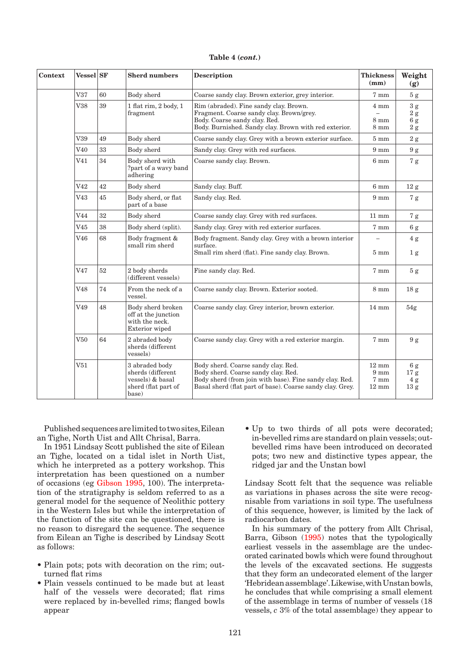|  |  | Table 4 (cont.) |
|--|--|-----------------|
|--|--|-----------------|

| Context | <b>Vessel</b> SF |    | <b>Sherd numbers</b>                                                                    | <b>Description</b>                                                                                                                                                                                 | <b>Thickness</b><br>$(\mathbf{mm})$                          | Weight<br>(g)                                    |
|---------|------------------|----|-----------------------------------------------------------------------------------------|----------------------------------------------------------------------------------------------------------------------------------------------------------------------------------------------------|--------------------------------------------------------------|--------------------------------------------------|
|         | V37              | 60 | Body sherd                                                                              | Coarse sandy clay. Brown exterior, grey interior.                                                                                                                                                  | $7 \text{ mm}$                                               | $5\ {\rm g}$                                     |
|         | V38              | 39 | 1 flat rim, 2 body, 1<br>fragment                                                       | Rim (abraded). Fine sandy clay. Brown.<br>Fragment. Coarse sandy clay. Brown/grey.<br>Body. Coarse sandy clay. Red.<br>Body. Burnished. Sandy clay. Brown with red exterior.                       | $4 \text{ mm}$<br>$8 \text{ mm}$<br>$8 \text{ mm}$           | 3 g<br>$2\ \mathrm{g}$<br>$6\,\mathrm{g}$<br>2 g |
|         | V39              | 49 | Body sherd                                                                              | Coarse sandy clay. Grey with a brown exterior surface.                                                                                                                                             | $5 \text{ mm}$                                               | 2 g                                              |
|         | V40              | 33 | Body sherd                                                                              | Sandy clay. Grey with red surfaces.                                                                                                                                                                | $9 \text{ mm}$                                               | 9g                                               |
|         | V <sub>41</sub>  | 34 | Body sherd with<br>?part of a wavy band<br>adhering                                     | Coarse sandy clay. Brown.                                                                                                                                                                          | $6 \text{ mm}$                                               | 7g                                               |
|         | V <sub>42</sub>  | 42 | Body sherd                                                                              | Sandy clay. Buff.                                                                                                                                                                                  | $6 \mathrm{~mm}$                                             | 12 g                                             |
|         | V43              | 45 | Body sherd, or flat<br>part of a base                                                   | Sandy clay. Red.                                                                                                                                                                                   | $9 \text{ mm}$                                               | 7g                                               |
|         | V44              | 32 | Body sherd                                                                              | Coarse sandy clay. Grey with red surfaces.                                                                                                                                                         | $11 \text{ mm}$                                              | 7g                                               |
|         | V <sub>45</sub>  | 38 | Body sherd (split).                                                                     | Sandy clay. Grey with red exterior surfaces.                                                                                                                                                       | 7 mm                                                         | 6g                                               |
|         | V46              | 68 | Body fragment &<br>small rim sherd                                                      | Body fragment. Sandy clay. Grey with a brown interior<br>surface.<br>Small rim sherd (flat). Fine sandy clay. Brown.                                                                               | $5 \text{ mm}$                                               | 4g<br>1 <sub>g</sub>                             |
|         | V47              | 52 | 2 body sherds<br>(different vessels)                                                    | Fine sandy clay. Red.                                                                                                                                                                              | 7 mm                                                         | 5g                                               |
|         | V48              | 74 | From the neck of a<br>vessel.                                                           | Coarse sandy clay. Brown. Exterior sooted.                                                                                                                                                         | $8 \text{ mm}$                                               | 18 <sub>g</sub>                                  |
|         | V49              | 48 | Body sherd broken<br>off at the junction<br>with the neck.<br>Exterior wiped            | Coarse sandy clay. Grey interior, brown exterior.                                                                                                                                                  | $14 \text{ mm}$                                              | 54g                                              |
|         | V50              | 64 | 2 abraded body<br>sherds (different<br>vessels)                                         | Coarse sandy clay. Grey with a red exterior margin.                                                                                                                                                | 7 mm                                                         | 9g                                               |
|         | V51              |    | 3 abraded body<br>sherds (different<br>vessels) & basal<br>sherd (flat part of<br>base) | Body sherd. Coarse sandy clay. Red.<br>Body sherd. Coarse sandy clay. Red.<br>Body sherd (from join with base). Fine sandy clay, Red.<br>Basal sherd (flat part of base). Coarse sandy clay. Grey. | $12 \text{ mm}$<br>$9 \text{ mm}$<br>7 mm<br>$12 \text{ mm}$ | 6g<br>17 <sub>g</sub><br>4 g<br>13 <sub>g</sub>  |

Published sequences are limited to two sites, Eilean an Tighe, North Uist and Allt Chrisal, Barra.

In 1951 Lindsay Scott published the site of Eilean an Tighe, located on a tidal islet in North Uist, which he interpreted as a pottery workshop. This interpretation has been questioned on a number of occasions (e[g Gibson 1995, 1](#page-1-0)00). The interpretation of the stratigraphy is seldom referred to as a general model for the sequence of Neolithic pottery in the Western Isles but while the interpretation of the function of the site can be questioned, there is no reason to disregard the sequence. The sequence from Eilean an Tighe is described by Lindsay Scott as follows:

- Plain pots; pots with decoration on the rim; outturned flat rims
- Plain vessels continued to be made but at least half of the vessels were decorated; flat rims were replaced by in-bevelled rims; flanged bowls appear

• Up to two thirds of all pots were decorated; in-bevelled rims are standard on plain vessels; outbevelled rims have been introduced on decorated pots; two new and distinctive types appear, the ridged jar and the Unstan bowl

Lindsay Scott felt that the sequence was reliable as variations in phases across the site were recognisable from variations in soil type. The usefulness of this sequence, however, is limited by the lack of radiocarbon dates.

In his summary of the pottery from Allt Chrisal, Barra, Gib[son \(1995\) notes](#page-1-0) that the typologically earliest vessels in the assemblage are the undecorated carinated bowls which were found throughout the levels of the excavated sections. He suggests that they form an undecorated element of the larger 'Hebridean assemblage'. Likewise, with Unstan bowls, he concludes that while comprising a small element of the assemblage in terms of number of vessels (18 vessels, *c* 3% of the total assemblage) they appear to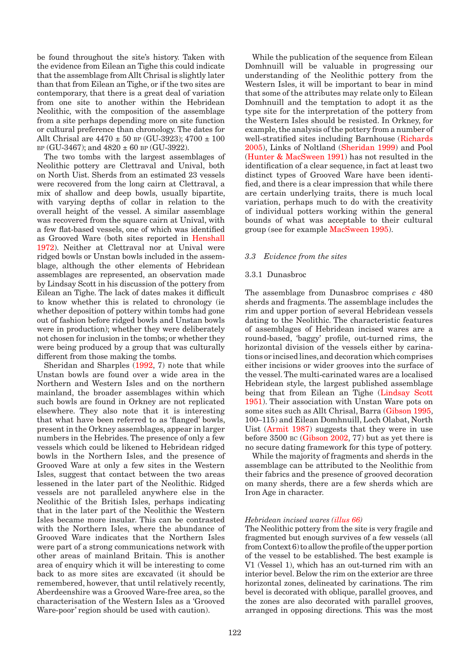be found throughout the site's history. Taken with the evidence from Eilean an Tighe this could indicate that the assemblage from Allt Chrisal is slightly later than that from Eilean an Tighe, or if the two sites are contemporary, that there is a great deal of variation from one site to another within the Hebridean Neolithic, with the composition of the assemblage from a site perhaps depending more on site function or cultural preference than chronology. The dates for Allt Chrisal are  $4470 \pm 50$  BP (GU-3923);  $4700 \pm 100$ BP (GU-3467); and  $4820 \pm 60$  BP (GU-3922).

The two tombs with the largest assemblages of Neolithic pottery are Clettraval and Unival, both on North Uist. Sherds from an estimated 23 vessels were recovered from the long cairn at Clettraval, a mix of shallow and deep bowls, usually bipartite, with varying depths of collar in relation to the overall height of the vessel. A similar assemblage was recovered from the square cairn at Unival, with a few flat-based vessels, one of which was identified as Grooved Ware (both sites reported [in Henshall](#page-1-0)  [1972\). Neither](#page-1-0) at Clettraval nor at Unival were ridged bowls or Unstan bowls included in the assemblage, although the other elements of Hebridean assemblages are represented, an observation made by Lindsay Scott in his discussion of the pottery from Eilean an Tighe. The lack of dates makes it difficult to know whether this is related to chronology (ie whether deposition of pottery within tombs had gone out of fashion before ridged bowls and Unstan bowls were in production); whether they were deliberately not chosen for inclusion in the tombs; or whether they were being produced by a group that was culturally different from those making the tombs.

Sheridan and Sharple[s \(1992, 7](#page-2-0)) note that while Unstan bowls are found over a wide area in the Northern and Western Isles and on the northern mainland, the broader assemblages within which such bowls are found in Orkney are not replicated elsewhere. They also note that it is interesting that what have been referred to as 'flanged' bowls, present in the Orkney assemblages, appear in larger numbers in the Hebrides. The presence of only a few vessels which could be likened to Hebridean ridged bowls in the Northern Isles, and the presence of Grooved Ware at only a few sites in the Western Isles, suggest that contact between the two areas lessened in the later part of the Neolithic. Ridged vessels are not paralleled anywhere else in the Neolithic of the British Isles, perhaps indicating that in the later part of the Neolithic the Western Isles became more insular. This can be contrasted with the Northern Isles, where the abundance of Grooved Ware indicates that the Northern Isles were part of a strong communications network with other areas of mainland Britain. This is another area of enquiry which it will be interesting to come back to as more sites are excavated (it should be remembered, however, that until relatively recently, Aberdeenshire was a Grooved Ware-free area, so the characterisation of the Western Isles as a 'Grooved Ware-poor' region should be used with caution).

While the publication of the sequence from Eilean Domhnuill will be valuable in progressing our understanding of the Neolithic pottery from the Western Isles, it will be important to bear in mind that some of the attributes may relate only to Eilean Domhnuill and the temptation to adopt it as the type site for the interpretation of the pottery from the Western Isles should be resisted. In Orkney, for example, the analysis of the pottery from a number of well-stratified sites including Barnhouse (Richards [2005\), Links of Noltland \(Sheridan 1999\) and Pool](#page-2-0)  [\(Hunter & MacSween 1991\) h](#page-2-0)as not resulted in the identification of a clear sequence, in fact at least two distinct types of Grooved Ware have been identified, and there is a clear impression that while there are certain underlying traits, there is much local variation, perhaps much to do with the creativity of individual potters working within the general bounds of what was acceptable to their cultural group (see for examp[le MacSween 1995\).](#page-2-0)

#### *3.3 Evidence from the sites*

#### 3.3.1 Dunasbroc

The assemblage from Dunasbroc comprises *c* 480 sherds and fragments. The assemblage includes the rim and upper portion of several Hebridean vessels dating to the Neolithic. The characteristic features of assemblages of Hebridean incised wares are a round-based, 'baggy' profile, out-turned rims, the horizontal division of the vessels either by carinations or incised lines, and decoration which comprises either incisions or wider grooves into the surface of the vessel. The multi-carinated wares are a localised Hebridean style, the largest published assemblage being that from Eilean an Tigh[e \(Lindsay Scott](#page-2-0)  [1951\). Their as](#page-2-0)sociation with Unstan Ware pots on some sites such as Allt Chrisal, Barr[a \(Gibson 1995,](#page-1-0)  100–115) and Eilean Domhnuill, Loch Olabat, North Uis[t \(Armit 1987\)](#page-0-0) suggests that they were in use before 3500 bc [\(Gibson 2002, 7](#page-1-0)7) but as yet there is no secure dating framework for this type of pottery.

While the majority of fragments and sherds in the assemblage can be attributed to the Neolithic from their fabrics and the presence of grooved decoration on many sherds, there are a few sherds which are Iron Age in character.

#### *Hebridean incised ware[s \(illus 66\)](#page-10-0)*

The Neolithic pottery from the site is very fragile and fragmented but enough survives of a few vessels (all from Context 6) to allow the profile of the upper portion of the vessel to be established. The best example is V1 (Vessel 1), which has an out-turned rim with an interior bevel. Below the rim on the exterior are three horizontal zones, delineated by carinations. The rim bevel is decorated with oblique, parallel grooves, and the zones are also decorated with parallel grooves, arranged in opposing directions. This was the most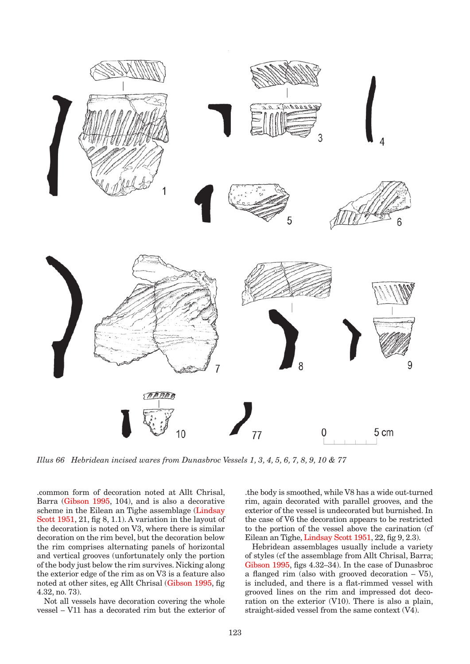<span id="page-10-0"></span>

*Illus 66 Hebridean incised wares from Dunasbroc Vessels 1, 3, 4, 5, 6, 7, 8, 9, 10 & 77*

.common form of decoration noted at Allt Chrisal, Barra [\(Gibson 1995,](#page-1-0) 104), and is also a decorative scheme in the Eilean an Tighe assemblag[e \(Lindsay](#page-2-0)  [Scott 1951](#page-2-0), 21, fig 8, 1.1). A variation in the layout of the decoration is noted on V3, where there is similar decoration on the rim bevel, but the decoration below the rim comprises alternating panels of horizontal and vertical grooves (unfortunately only the portion of the body just below the rim survives. Nicking along the exterior edge of the rim as on V3 is a feature also noted at other sites, eg Allt Chrisal [\(Gibson 1995, fi](#page-1-0)g 4.32, no. 73).

Not all vessels have decoration covering the whole vessel – V11 has a decorated rim but the exterior of .the body is smoothed, while V8 has a wide out-turned rim, again decorated with parallel grooves, and the exterior of the vessel is undecorated but burnished. In the case of V6 the decoration appears to be restricted to the portion of the vessel above the carination (cf Eilean an Tigh[e, Lindsay Scott 1951,](#page-2-0) 22, fig 9, 2.3).

Hebridean assemblages usually include a variety of styles (cf the assemblage from Allt Chrisal, Barra; [Gibson 1995,](#page-1-0) figs 4.32–34). In the case of Dunasbroc a flanged rim (also with grooved decoration – V5), is included, and there is a flat-rimmed vessel with grooved lines on the rim and impressed dot decoration on the exterior (V10). There is also a plain, straight-sided vessel from the same context (V4).